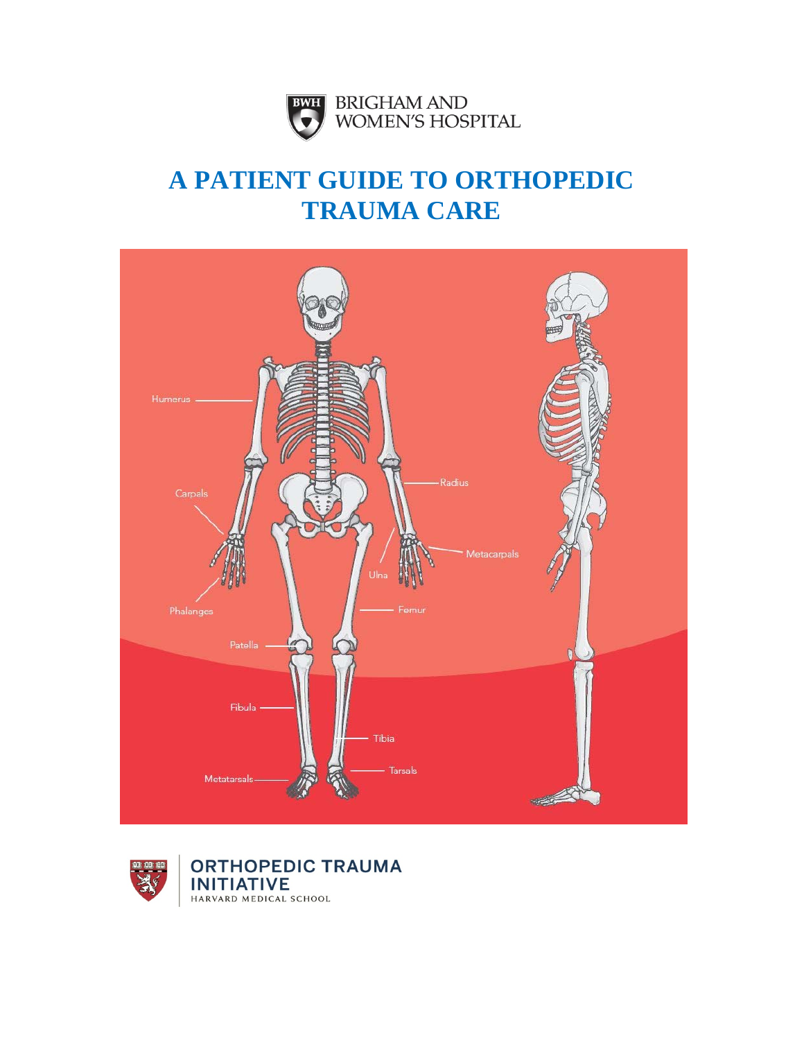

# **A PATIENT GUIDE TO ORTHOPEDIC TRAUMA CARE**





**ORTHOPEDIC TRAUMA INITIATIVE** HARVARD MEDICAL SCHOOL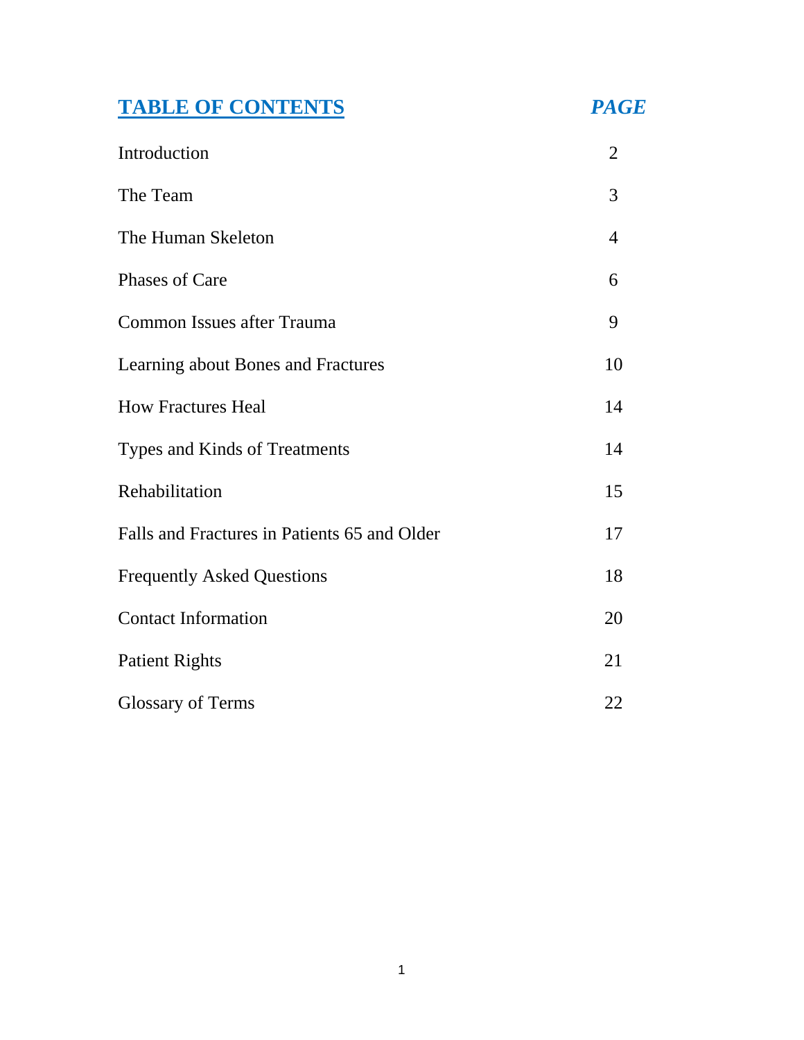# **TABLE OF CONTENTS** *PAGE*

| Introduction                                 | $\overline{2}$ |
|----------------------------------------------|----------------|
| The Team                                     | 3              |
| The Human Skeleton                           | 4              |
| Phases of Care                               | 6              |
| <b>Common Issues after Trauma</b>            | 9              |
| Learning about Bones and Fractures           | 10             |
| <b>How Fractures Heal</b>                    | 14             |
| Types and Kinds of Treatments                | 14             |
| Rehabilitation                               | 15             |
| Falls and Fractures in Patients 65 and Older | 17             |
| <b>Frequently Asked Questions</b>            | 18             |
| <b>Contact Information</b>                   | 20             |
| <b>Patient Rights</b>                        | 21             |
| <b>Glossary of Terms</b>                     | 22             |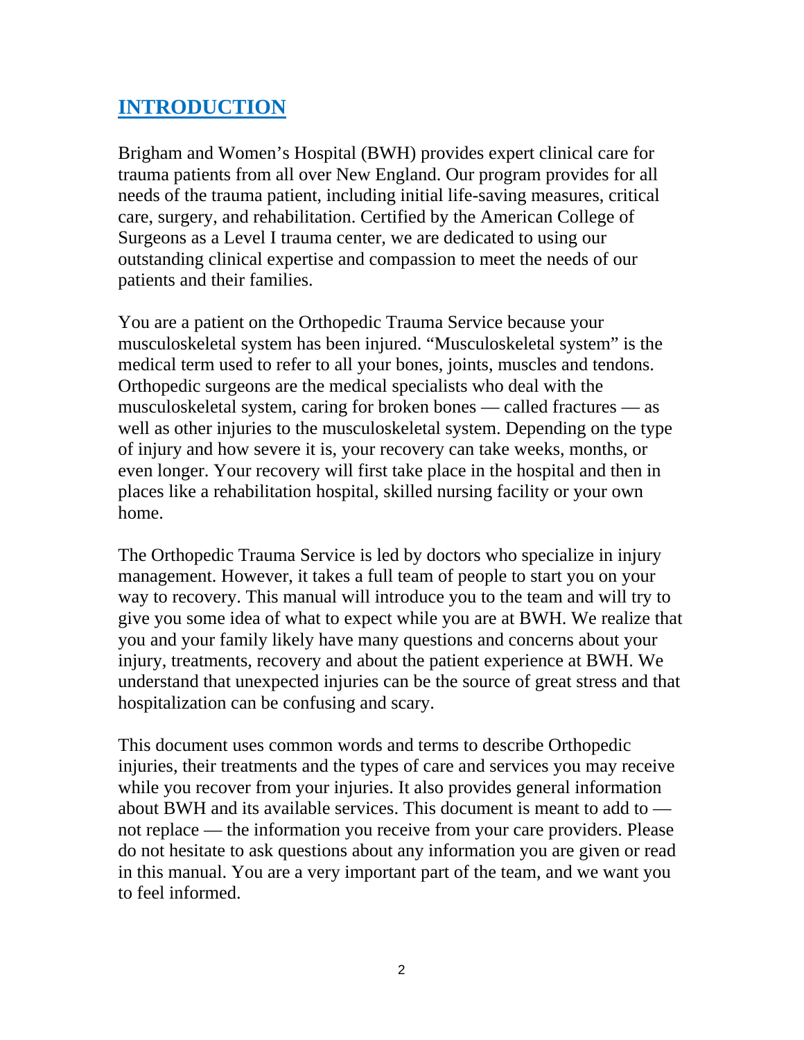### **INTRODUCTION**

Brigham and Women's Hospital (BWH) provides expert clinical care for trauma patients from all over New England. Our program provides for all needs of the trauma patient, including initial life-saving measures, critical care, surgery, and rehabilitation. Certified by the American College of Surgeons as a Level I trauma center, we are dedicated to using our outstanding clinical expertise and compassion to meet the needs of our patients and their families.

You are a patient on the Orthopedic Trauma Service because your musculoskeletal system has been injured. "Musculoskeletal system" is the medical term used to refer to all your bones, joints, muscles and tendons. Orthopedic surgeons are the medical specialists who deal with the musculoskeletal system, caring for broken bones — called fractures — as well as other injuries to the musculoskeletal system. Depending on the type of injury and how severe it is, your recovery can take weeks, months, or even longer. Your recovery will first take place in the hospital and then in places like a rehabilitation hospital, skilled nursing facility or your own home.

The Orthopedic Trauma Service is led by doctors who specialize in injury management. However, it takes a full team of people to start you on your way to recovery. This manual will introduce you to the team and will try to give you some idea of what to expect while you are at BWH. We realize that you and your family likely have many questions and concerns about your injury, treatments, recovery and about the patient experience at BWH. We understand that unexpected injuries can be the source of great stress and that hospitalization can be confusing and scary.

This document uses common words and terms to describe Orthopedic injuries, their treatments and the types of care and services you may receive while you recover from your injuries. It also provides general information about BWH and its available services. This document is meant to add to not replace — the information you receive from your care providers. Please do not hesitate to ask questions about any information you are given or read in this manual. You are a very important part of the team, and we want you to feel informed.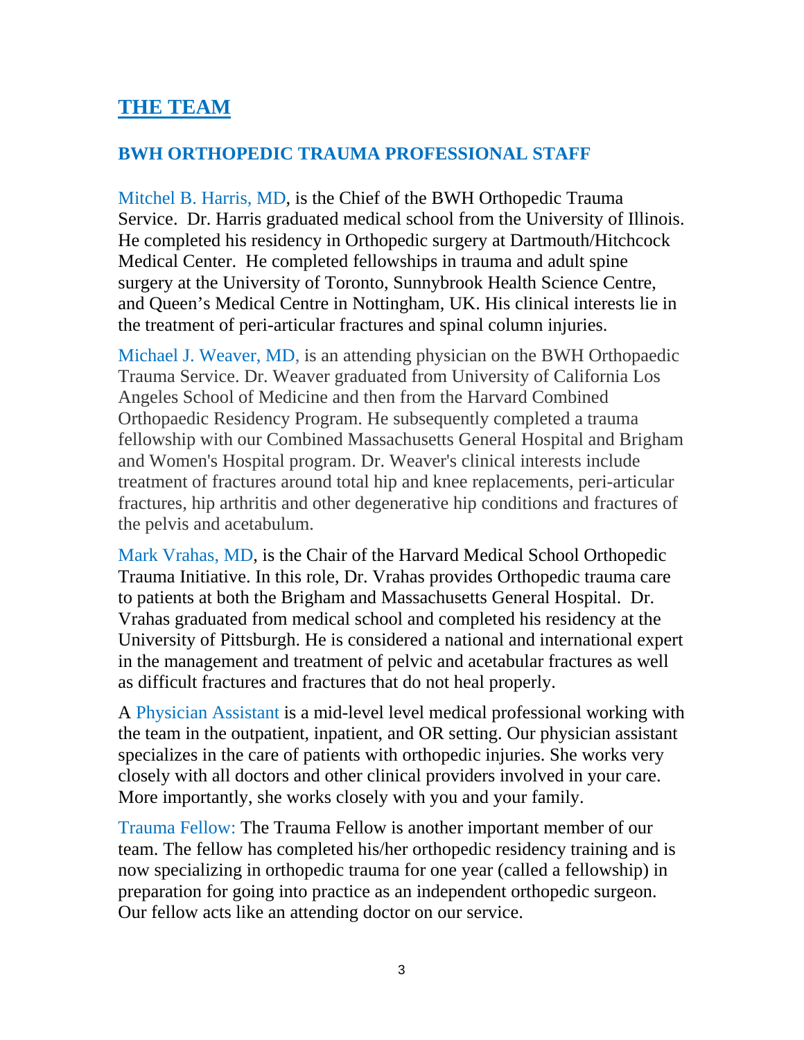### **THE TEAM**

### **BWH ORTHOPEDIC TRAUMA PROFESSIONAL STAFF**

Mitchel B. Harris, MD, is the Chief of the BWH Orthopedic Trauma Service. Dr. Harris graduated medical school from the University of Illinois. He completed his residency in Orthopedic surgery at Dartmouth/Hitchcock Medical Center. He completed fellowships in trauma and adult spine surgery at the University of Toronto, Sunnybrook Health Science Centre, and Queen's Medical Centre in Nottingham, UK. His clinical interests lie in the treatment of peri-articular fractures and spinal column injuries.

Michael J. Weaver, MD, is an attending physician on the BWH Orthopaedic Trauma Service. Dr. Weaver graduated from University of California Los Angeles School of Medicine and then from the Harvard Combined Orthopaedic Residency Program. He subsequently completed a trauma fellowship with our Combined Massachusetts General Hospital and Brigham and Women's Hospital program. Dr. Weaver's clinical interests include treatment of fractures around total hip and knee replacements, peri-articular fractures, hip arthritis and other degenerative hip conditions and fractures of the pelvis and acetabulum.

Mark Vrahas, MD, is the Chair of the Harvard Medical School Orthopedic Trauma Initiative. In this role, Dr. Vrahas provides Orthopedic trauma care to patients at both the Brigham and Massachusetts General Hospital. Dr. Vrahas graduated from medical school and completed his residency at the University of Pittsburgh. He is considered a national and international expert in the management and treatment of pelvic and acetabular fractures as well as difficult fractures and fractures that do not heal properly.

A Physician Assistant is a mid-level level medical professional working with the team in the outpatient, inpatient, and OR setting. Our physician assistant specializes in the care of patients with orthopedic injuries. She works very closely with all doctors and other clinical providers involved in your care. More importantly, she works closely with you and your family.

Trauma Fellow: The Trauma Fellow is another important member of our team. The fellow has completed his/her orthopedic residency training and is now specializing in orthopedic trauma for one year (called a fellowship) in preparation for going into practice as an independent orthopedic surgeon. Our fellow acts like an attending doctor on our service.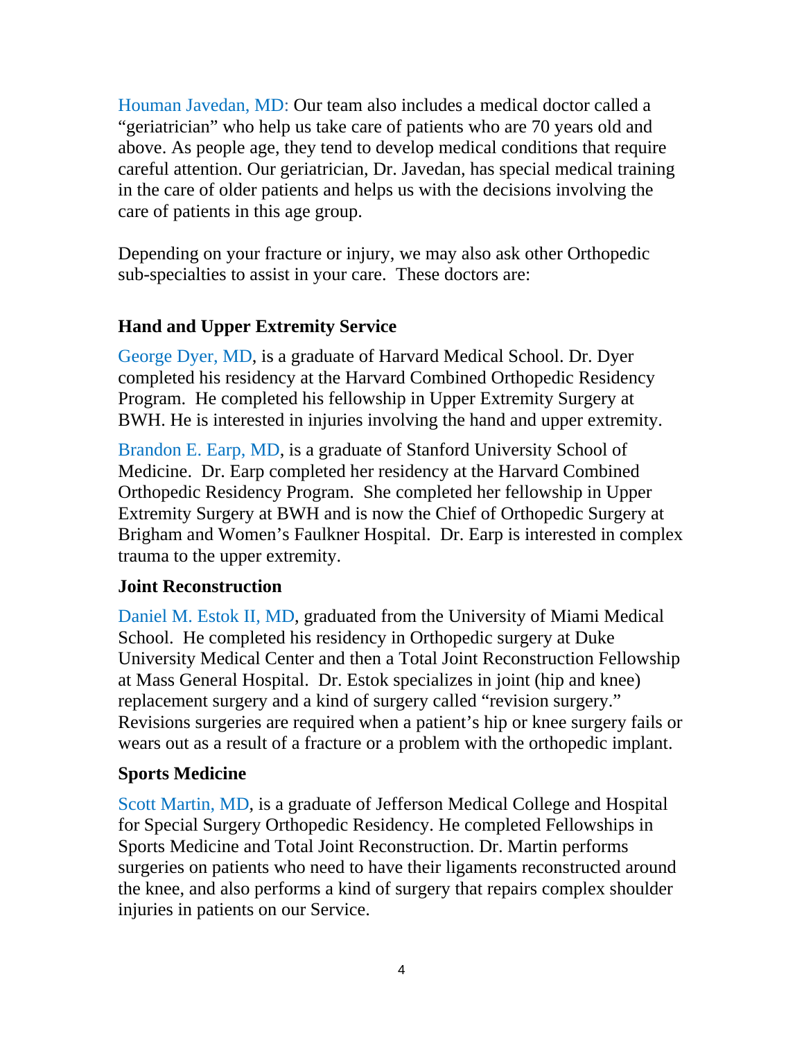Houman Javedan, MD: Our team also includes a medical doctor called a "geriatrician" who help us take care of patients who are 70 years old and above. As people age, they tend to develop medical conditions that require careful attention. Our geriatrician, Dr. Javedan, has special medical training in the care of older patients and helps us with the decisions involving the care of patients in this age group.

Depending on your fracture or injury, we may also ask other Orthopedic sub-specialties to assist in your care. These doctors are:

### **Hand and Upper Extremity Service**

George Dyer, MD, is a graduate of Harvard Medical School. Dr. Dyer completed his residency at the Harvard Combined Orthopedic Residency Program. He completed his fellowship in Upper Extremity Surgery at BWH. He is interested in injuries involving the hand and upper extremity.

Brandon E. Earp, MD, is a graduate of Stanford University School of Medicine. Dr. Earp completed her residency at the Harvard Combined Orthopedic Residency Program. She completed her fellowship in Upper Extremity Surgery at BWH and is now the Chief of Orthopedic Surgery at Brigham and Women's Faulkner Hospital. Dr. Earp is interested in complex trauma to the upper extremity.

### **Joint Reconstruction**

Daniel M. Estok II, MD, graduated from the University of Miami Medical School. He completed his residency in Orthopedic surgery at Duke University Medical Center and then a Total Joint Reconstruction Fellowship at Mass General Hospital. Dr. Estok specializes in joint (hip and knee) replacement surgery and a kind of surgery called "revision surgery." Revisions surgeries are required when a patient's hip or knee surgery fails or wears out as a result of a fracture or a problem with the orthopedic implant.

### **Sports Medicine**

Scott Martin, MD, is a graduate of Jefferson Medical College and Hospital for Special Surgery Orthopedic Residency. He completed Fellowships in Sports Medicine and Total Joint Reconstruction. Dr. Martin performs surgeries on patients who need to have their ligaments reconstructed around the knee, and also performs a kind of surgery that repairs complex shoulder injuries in patients on our Service.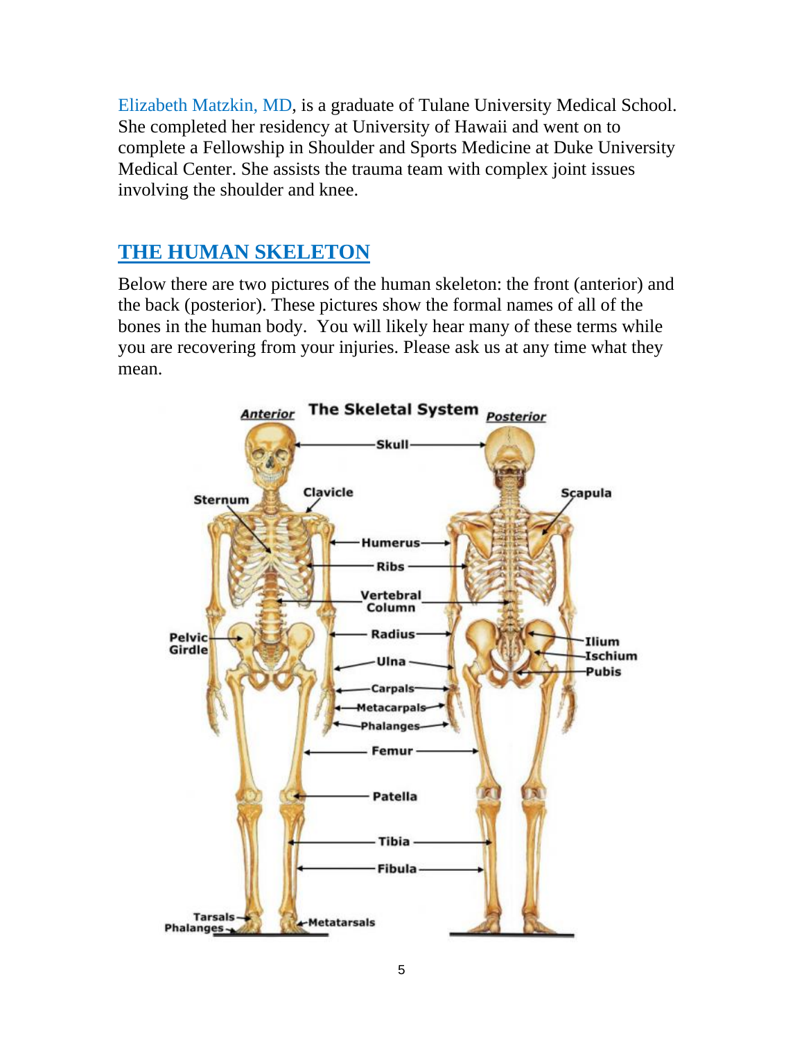Elizabeth Matzkin, MD, is a graduate of Tulane University Medical School. She completed her residency at University of Hawaii and went on to complete a Fellowship in Shoulder and Sports Medicine at Duke University Medical Center. She assists the trauma team with complex joint issues involving the shoulder and knee.

### **THE HUMAN SKELETON**

Below there are two pictures of the human skeleton: the front (anterior) and the back (posterior). These pictures show the formal names of all of the bones in the human body. You will likely hear many of these terms while you are recovering from your injuries. Please ask us at any time what they mean.

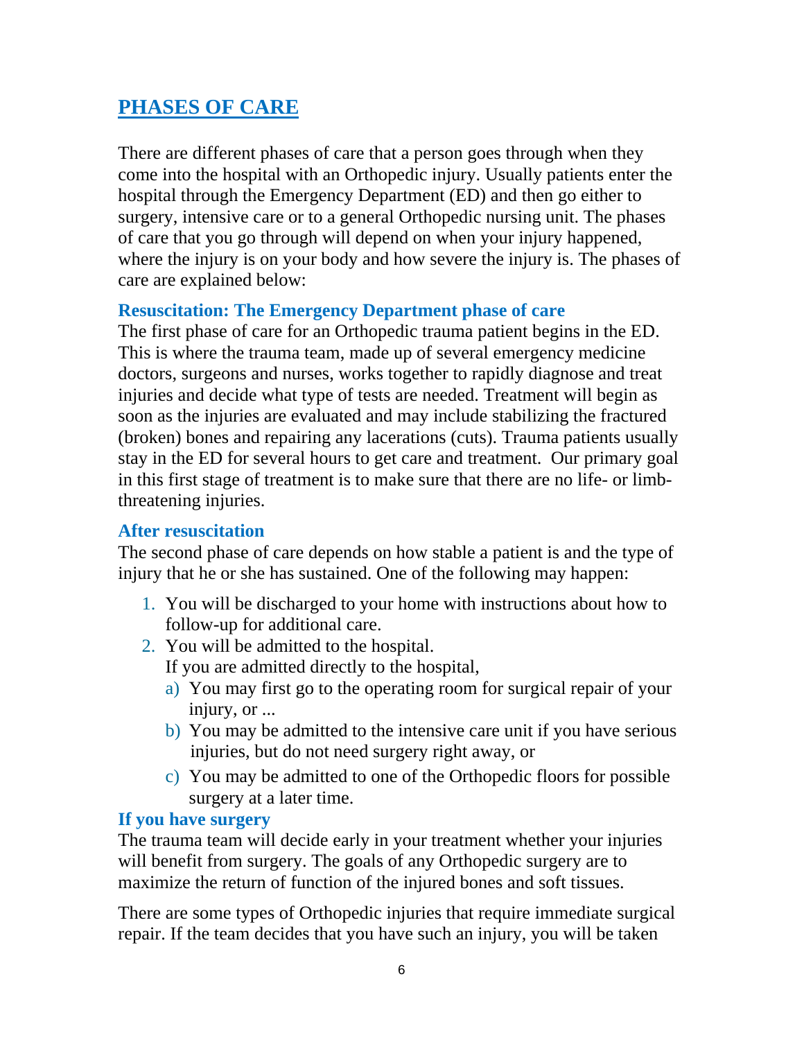### **PHASES OF CARE**

There are different phases of care that a person goes through when they come into the hospital with an Orthopedic injury. Usually patients enter the hospital through the Emergency Department (ED) and then go either to surgery, intensive care or to a general Orthopedic nursing unit. The phases of care that you go through will depend on when your injury happened, where the injury is on your body and how severe the injury is. The phases of care are explained below:

### **Resuscitation: The Emergency Department phase of care**

The first phase of care for an Orthopedic trauma patient begins in the ED. This is where the trauma team, made up of several emergency medicine doctors, surgeons and nurses, works together to rapidly diagnose and treat injuries and decide what type of tests are needed. Treatment will begin as soon as the injuries are evaluated and may include stabilizing the fractured (broken) bones and repairing any lacerations (cuts). Trauma patients usually stay in the ED for several hours to get care and treatment. Our primary goal in this first stage of treatment is to make sure that there are no life- or limbthreatening injuries.

### **After resuscitation**

The second phase of care depends on how stable a patient is and the type of injury that he or she has sustained. One of the following may happen:

- 1. You will be discharged to your home with instructions about how to follow-up for additional care.
- 2. You will be admitted to the hospital.
	- If you are admitted directly to the hospital,
	- a) You may first go to the operating room for surgical repair of your injury, or ...
	- b) You may be admitted to the intensive care unit if you have serious injuries, but do not need surgery right away, or
	- c) You may be admitted to one of the Orthopedic floors for possible surgery at a later time.

### **If you have surgery**

The trauma team will decide early in your treatment whether your injuries will benefit from surgery. The goals of any Orthopedic surgery are to maximize the return of function of the injured bones and soft tissues.

There are some types of Orthopedic injuries that require immediate surgical repair. If the team decides that you have such an injury, you will be taken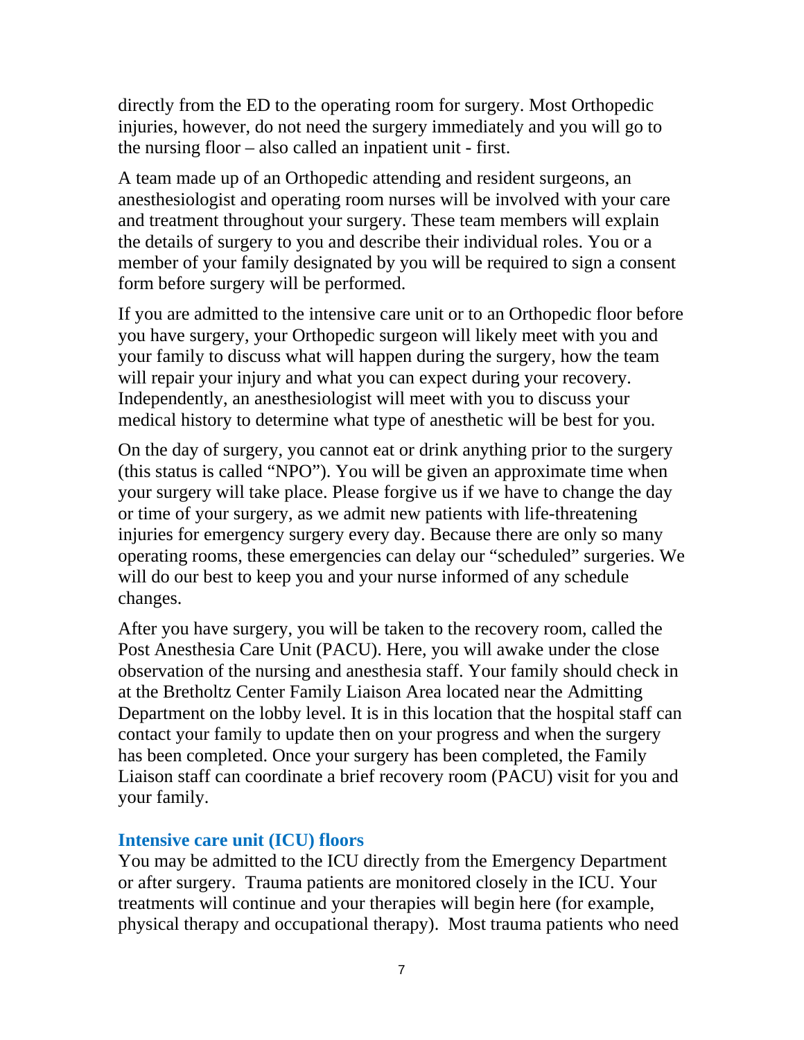directly from the ED to the operating room for surgery. Most Orthopedic injuries, however, do not need the surgery immediately and you will go to the nursing floor – also called an inpatient unit - first.

A team made up of an Orthopedic attending and resident surgeons, an anesthesiologist and operating room nurses will be involved with your care and treatment throughout your surgery. These team members will explain the details of surgery to you and describe their individual roles. You or a member of your family designated by you will be required to sign a consent form before surgery will be performed.

If you are admitted to the intensive care unit or to an Orthopedic floor before you have surgery, your Orthopedic surgeon will likely meet with you and your family to discuss what will happen during the surgery, how the team will repair your injury and what you can expect during your recovery. Independently, an anesthesiologist will meet with you to discuss your medical history to determine what type of anesthetic will be best for you.

On the day of surgery, you cannot eat or drink anything prior to the surgery (this status is called "NPO"). You will be given an approximate time when your surgery will take place. Please forgive us if we have to change the day or time of your surgery, as we admit new patients with life-threatening injuries for emergency surgery every day. Because there are only so many operating rooms, these emergencies can delay our "scheduled" surgeries. We will do our best to keep you and your nurse informed of any schedule changes.

After you have surgery, you will be taken to the recovery room, called the Post Anesthesia Care Unit (PACU). Here, you will awake under the close observation of the nursing and anesthesia staff. Your family should check in at the Bretholtz Center Family Liaison Area located near the Admitting Department on the lobby level. It is in this location that the hospital staff can contact your family to update then on your progress and when the surgery has been completed. Once your surgery has been completed, the Family Liaison staff can coordinate a brief recovery room (PACU) visit for you and your family.

### **Intensive care unit (ICU) floors**

You may be admitted to the ICU directly from the Emergency Department or after surgery. Trauma patients are monitored closely in the ICU. Your treatments will continue and your therapies will begin here (for example, physical therapy and occupational therapy). Most trauma patients who need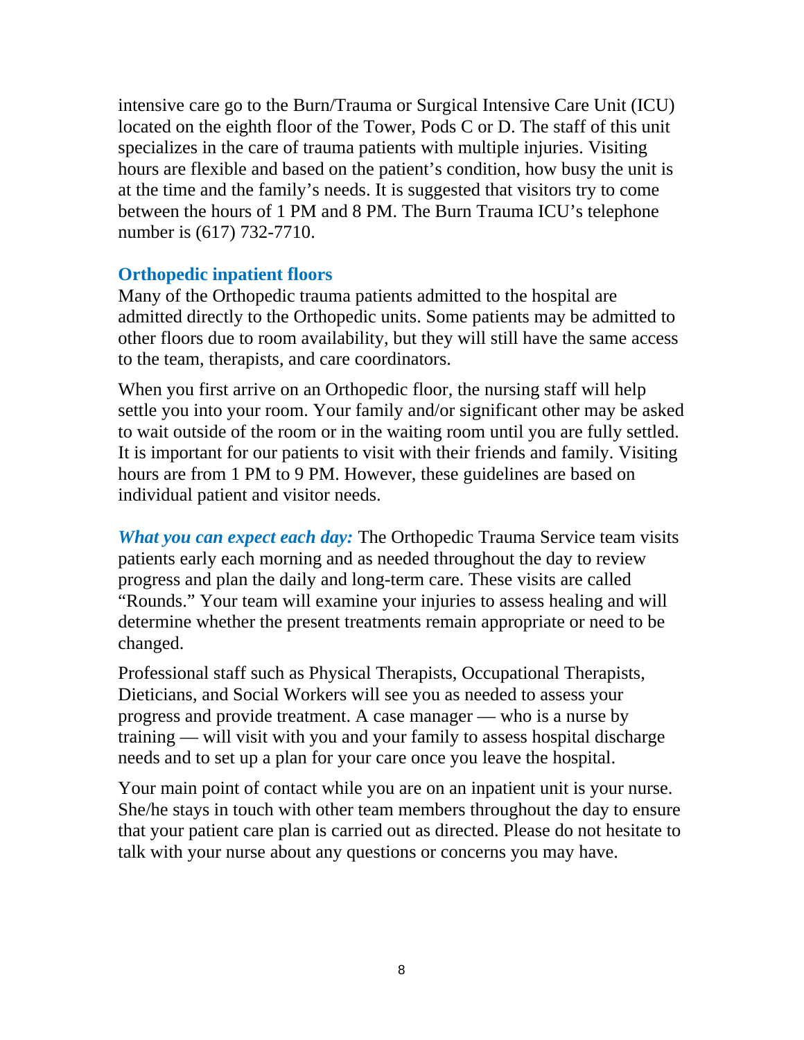intensive care go to the Burn/Trauma or Surgical Intensive Care Unit (ICU) located on the eighth floor of the Tower, Pods C or D. The staff of this unit specializes in the care of trauma patients with multiple injuries. Visiting hours are flexible and based on the patient's condition, how busy the unit is at the time and the family's needs. It is suggested that visitors try to come between the hours of 1 PM and 8 PM. The Burn Trauma ICU's telephone number is (617) 732-7710.

### **Orthopedic inpatient floors**

Many of the Orthopedic trauma patients admitted to the hospital are admitted directly to the Orthopedic units. Some patients may be admitted to other floors due to room availability, but they will still have the same access to the team, therapists, and care coordinators.

When you first arrive on an Orthopedic floor, the nursing staff will help settle you into your room. Your family and/or significant other may be asked to wait outside of the room or in the waiting room until you are fully settled. It is important for our patients to visit with their friends and family. Visiting hours are from 1 PM to 9 PM. However, these guidelines are based on individual patient and visitor needs.

*What you can expect each day:* The Orthopedic Trauma Service team visits patients early each morning and as needed throughout the day to review progress and plan the daily and long-term care. These visits are called "Rounds." Your team will examine your injuries to assess healing and will determine whether the present treatments remain appropriate or need to be changed.

Professional staff such as Physical Therapists, Occupational Therapists, Dieticians, and Social Workers will see you as needed to assess your progress and provide treatment. A case manager — who is a nurse by training — will visit with you and your family to assess hospital discharge needs and to set up a plan for your care once you leave the hospital.

Your main point of contact while you are on an inpatient unit is your nurse. She/he stays in touch with other team members throughout the day to ensure that your patient care plan is carried out as directed. Please do not hesitate to talk with your nurse about any questions or concerns you may have.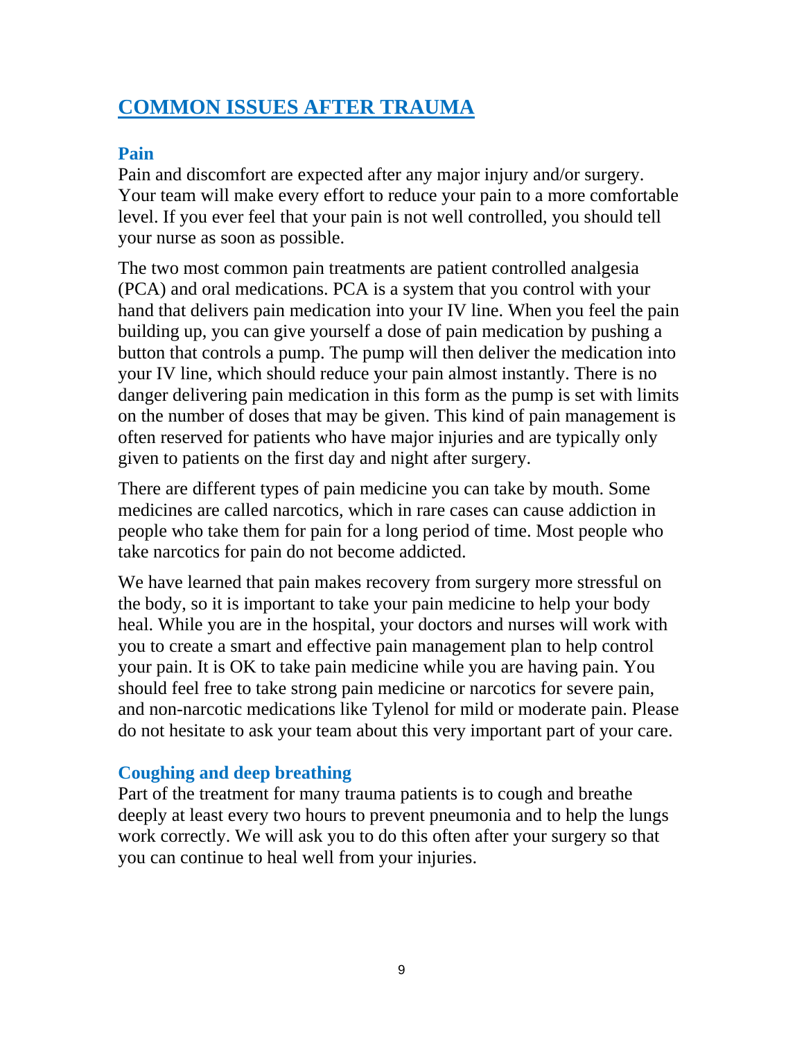### **COMMON ISSUES AFTER TRAUMA**

### **Pain**

Pain and discomfort are expected after any major injury and/or surgery. Your team will make every effort to reduce your pain to a more comfortable level. If you ever feel that your pain is not well controlled, you should tell your nurse as soon as possible.

The two most common pain treatments are patient controlled analgesia (PCA) and oral medications. PCA is a system that you control with your hand that delivers pain medication into your IV line. When you feel the pain building up, you can give yourself a dose of pain medication by pushing a button that controls a pump. The pump will then deliver the medication into your IV line, which should reduce your pain almost instantly. There is no danger delivering pain medication in this form as the pump is set with limits on the number of doses that may be given. This kind of pain management is often reserved for patients who have major injuries and are typically only given to patients on the first day and night after surgery.

There are different types of pain medicine you can take by mouth. Some medicines are called narcotics, which in rare cases can cause addiction in people who take them for pain for a long period of time. Most people who take narcotics for pain do not become addicted.

We have learned that pain makes recovery from surgery more stressful on the body, so it is important to take your pain medicine to help your body heal. While you are in the hospital, your doctors and nurses will work with you to create a smart and effective pain management plan to help control your pain. It is OK to take pain medicine while you are having pain. You should feel free to take strong pain medicine or narcotics for severe pain, and non-narcotic medications like Tylenol for mild or moderate pain. Please do not hesitate to ask your team about this very important part of your care.

### **Coughing and deep breathing**

Part of the treatment for many trauma patients is to cough and breathe deeply at least every two hours to prevent pneumonia and to help the lungs work correctly. We will ask you to do this often after your surgery so that you can continue to heal well from your injuries.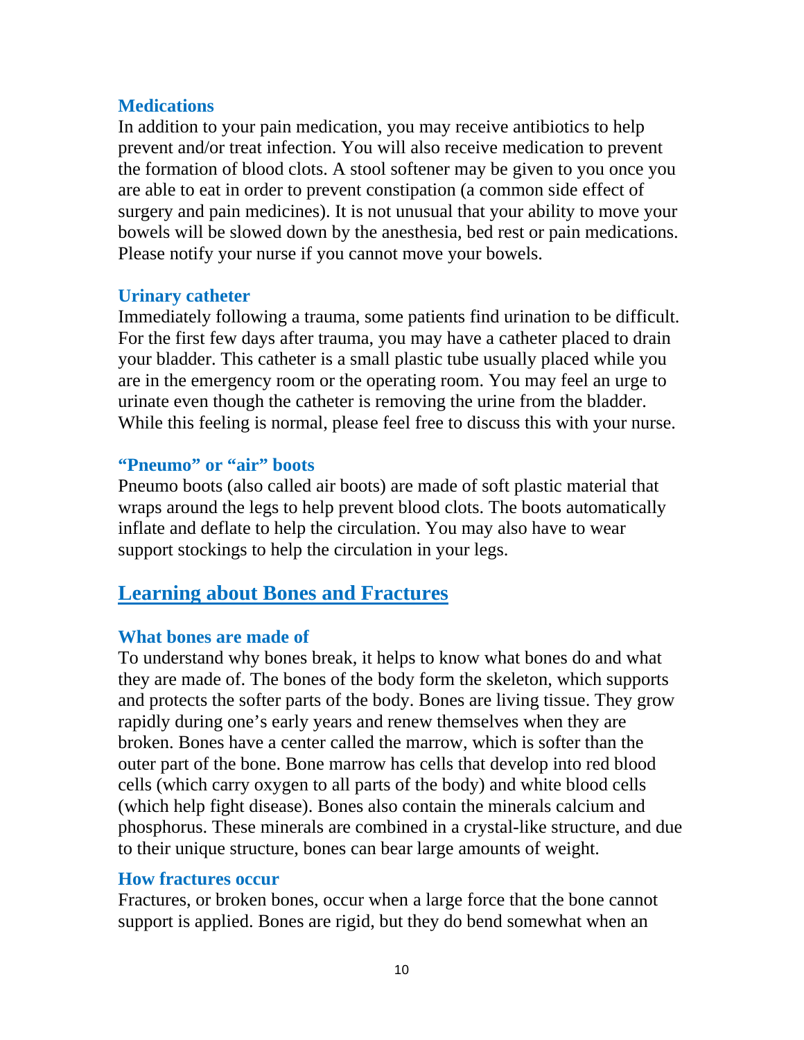### **Medications**

In addition to your pain medication, you may receive antibiotics to help prevent and/or treat infection. You will also receive medication to prevent the formation of blood clots. A stool softener may be given to you once you are able to eat in order to prevent constipation (a common side effect of surgery and pain medicines). It is not unusual that your ability to move your bowels will be slowed down by the anesthesia, bed rest or pain medications. Please notify your nurse if you cannot move your bowels.

### **Urinary catheter**

Immediately following a trauma, some patients find urination to be difficult. For the first few days after trauma, you may have a catheter placed to drain your bladder. This catheter is a small plastic tube usually placed while you are in the emergency room or the operating room. You may feel an urge to urinate even though the catheter is removing the urine from the bladder. While this feeling is normal, please feel free to discuss this with your nurse.

### **"Pneumo" or "air" boots**

Pneumo boots (also called air boots) are made of soft plastic material that wraps around the legs to help prevent blood clots. The boots automatically inflate and deflate to help the circulation. You may also have to wear support stockings to help the circulation in your legs.

### **Learning about Bones and Fractures**

### **What bones are made of**

To understand why bones break, it helps to know what bones do and what they are made of. The bones of the body form the skeleton, which supports and protects the softer parts of the body. Bones are living tissue. They grow rapidly during one's early years and renew themselves when they are broken. Bones have a center called the marrow, which is softer than the outer part of the bone. Bone marrow has cells that develop into red blood cells (which carry oxygen to all parts of the body) and white blood cells (which help fight disease). Bones also contain the minerals calcium and phosphorus. These minerals are combined in a crystal-like structure, and due to their unique structure, bones can bear large amounts of weight.

### **How fractures occur**

Fractures, or broken bones, occur when a large force that the bone cannot support is applied. Bones are rigid, but they do bend somewhat when an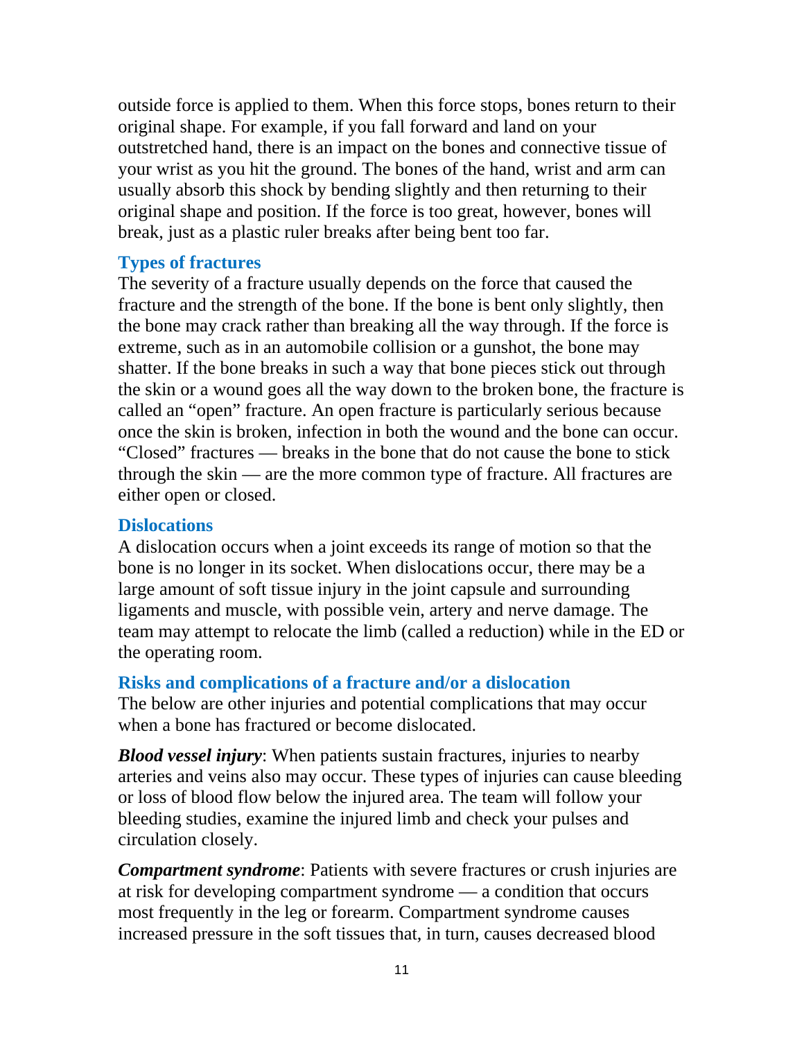outside force is applied to them. When this force stops, bones return to their original shape. For example, if you fall forward and land on your outstretched hand, there is an impact on the bones and connective tissue of your wrist as you hit the ground. The bones of the hand, wrist and arm can usually absorb this shock by bending slightly and then returning to their original shape and position. If the force is too great, however, bones will break, just as a plastic ruler breaks after being bent too far.

### **Types of fractures**

The severity of a fracture usually depends on the force that caused the fracture and the strength of the bone. If the bone is bent only slightly, then the bone may crack rather than breaking all the way through. If the force is extreme, such as in an automobile collision or a gunshot, the bone may shatter. If the bone breaks in such a way that bone pieces stick out through the skin or a wound goes all the way down to the broken bone, the fracture is called an "open" fracture. An open fracture is particularly serious because once the skin is broken, infection in both the wound and the bone can occur. "Closed" fractures — breaks in the bone that do not cause the bone to stick through the skin — are the more common type of fracture. All fractures are either open or closed.

### **Dislocations**

A dislocation occurs when a joint exceeds its range of motion so that the bone is no longer in its socket. When dislocations occur, there may be a large amount of soft tissue injury in the joint capsule and surrounding ligaments and muscle, with possible vein, artery and nerve damage. The team may attempt to relocate the limb (called a reduction) while in the ED or the operating room.

### **Risks and complications of a fracture and/or a dislocation**

The below are other injuries and potential complications that may occur when a bone has fractured or become dislocated.

*Blood vessel injury*: When patients sustain fractures, injuries to nearby arteries and veins also may occur. These types of injuries can cause bleeding or loss of blood flow below the injured area. The team will follow your bleeding studies, examine the injured limb and check your pulses and circulation closely.

*Compartment syndrome*: Patients with severe fractures or crush injuries are at risk for developing compartment syndrome — a condition that occurs most frequently in the leg or forearm. Compartment syndrome causes increased pressure in the soft tissues that, in turn, causes decreased blood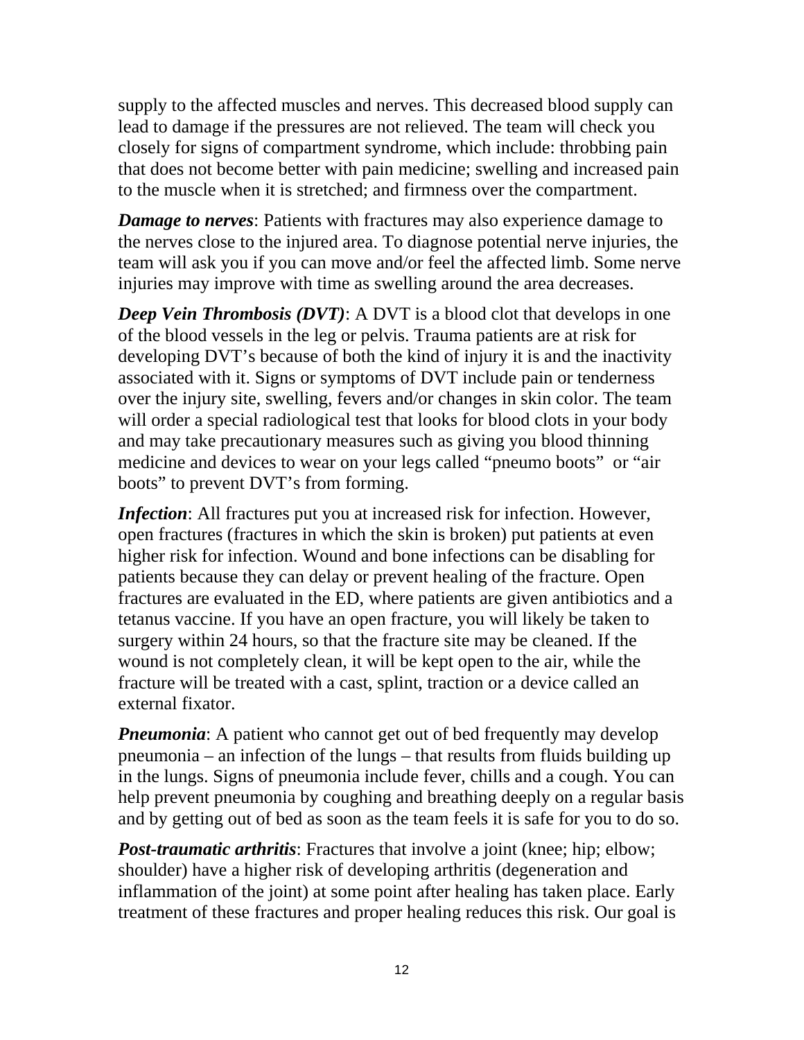supply to the affected muscles and nerves. This decreased blood supply can lead to damage if the pressures are not relieved. The team will check you closely for signs of compartment syndrome, which include: throbbing pain that does not become better with pain medicine; swelling and increased pain to the muscle when it is stretched; and firmness over the compartment.

*Damage to nerves*: Patients with fractures may also experience damage to the nerves close to the injured area. To diagnose potential nerve injuries, the team will ask you if you can move and/or feel the affected limb. Some nerve injuries may improve with time as swelling around the area decreases.

*Deep Vein Thrombosis (DVT)*: A DVT is a blood clot that develops in one of the blood vessels in the leg or pelvis. Trauma patients are at risk for developing DVT's because of both the kind of injury it is and the inactivity associated with it. Signs or symptoms of DVT include pain or tenderness over the injury site, swelling, fevers and/or changes in skin color. The team will order a special radiological test that looks for blood clots in your body and may take precautionary measures such as giving you blood thinning medicine and devices to wear on your legs called "pneumo boots" or "air boots" to prevent DVT's from forming.

*Infection*: All fractures put you at increased risk for infection. However, open fractures (fractures in which the skin is broken) put patients at even higher risk for infection. Wound and bone infections can be disabling for patients because they can delay or prevent healing of the fracture. Open fractures are evaluated in the ED, where patients are given antibiotics and a tetanus vaccine. If you have an open fracture, you will likely be taken to surgery within 24 hours, so that the fracture site may be cleaned. If the wound is not completely clean, it will be kept open to the air, while the fracture will be treated with a cast, splint, traction or a device called an external fixator.

*Pneumonia*: A patient who cannot get out of bed frequently may develop pneumonia – an infection of the lungs – that results from fluids building up in the lungs. Signs of pneumonia include fever, chills and a cough. You can help prevent pneumonia by coughing and breathing deeply on a regular basis and by getting out of bed as soon as the team feels it is safe for you to do so.

*Post-traumatic arthritis*: Fractures that involve a joint (knee; hip; elbow; shoulder) have a higher risk of developing arthritis (degeneration and inflammation of the joint) at some point after healing has taken place. Early treatment of these fractures and proper healing reduces this risk. Our goal is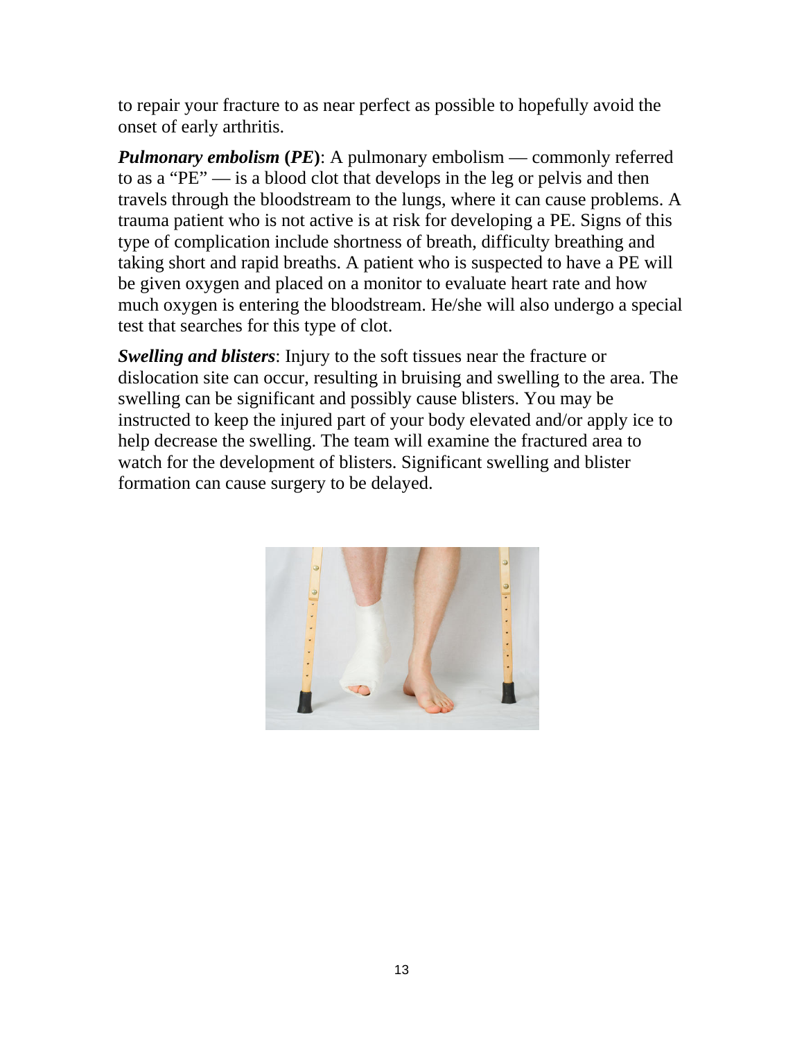to repair your fracture to as near perfect as possible to hopefully avoid the onset of early arthritis.

*Pulmonary embolism* (*PE*): A pulmonary embolism — commonly referred to as a "PE" — is a blood clot that develops in the leg or pelvis and then travels through the bloodstream to the lungs, where it can cause problems. A trauma patient who is not active is at risk for developing a PE. Signs of this type of complication include shortness of breath, difficulty breathing and taking short and rapid breaths. A patient who is suspected to have a PE will be given oxygen and placed on a monitor to evaluate heart rate and how much oxygen is entering the bloodstream. He/she will also undergo a special test that searches for this type of clot.

*Swelling and blisters*: Injury to the soft tissues near the fracture or dislocation site can occur, resulting in bruising and swelling to the area. The swelling can be significant and possibly cause blisters. You may be instructed to keep the injured part of your body elevated and/or apply ice to help decrease the swelling. The team will examine the fractured area to watch for the development of blisters. Significant swelling and blister formation can cause surgery to be delayed.

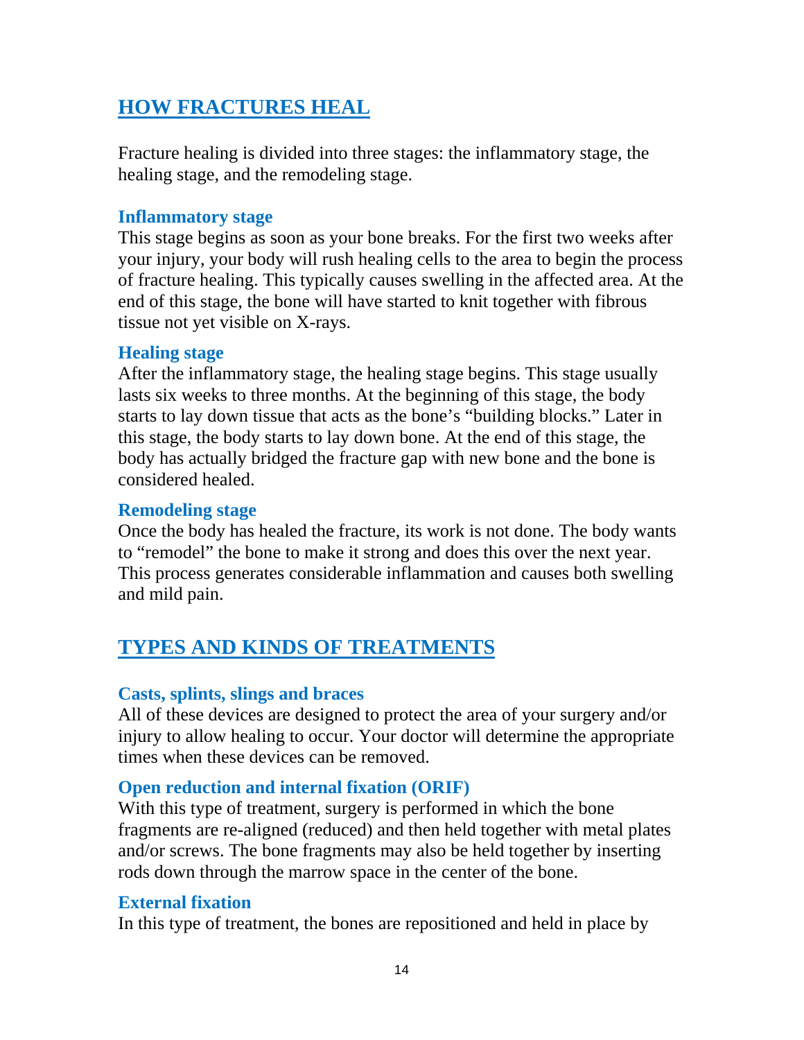### **HOW FRACTURES HEAL**

Fracture healing is divided into three stages: the inflammatory stage, the healing stage, and the remodeling stage.

#### **Inflammatory stage**

This stage begins as soon as your bone breaks. For the first two weeks after your injury, your body will rush healing cells to the area to begin the process of fracture healing. This typically causes swelling in the affected area. At the end of this stage, the bone will have started to knit together with fibrous tissue not yet visible on X-rays.

### **Healing stage**

After the inflammatory stage, the healing stage begins. This stage usually lasts six weeks to three months. At the beginning of this stage, the body starts to lay down tissue that acts as the bone's "building blocks." Later in this stage, the body starts to lay down bone. At the end of this stage, the body has actually bridged the fracture gap with new bone and the bone is considered healed.

### **Remodeling stage**

Once the body has healed the fracture, its work is not done. The body wants to "remodel" the bone to make it strong and does this over the next year. This process generates considerable inflammation and causes both swelling and mild pain.

### **TYPES AND KINDS OF TREATMENTS**

### **Casts, splints, slings and braces**

All of these devices are designed to protect the area of your surgery and/or injury to allow healing to occur. Your doctor will determine the appropriate times when these devices can be removed.

### **Open reduction and internal fixation (ORIF)**

With this type of treatment, surgery is performed in which the bone fragments are re-aligned (reduced) and then held together with metal plates and/or screws. The bone fragments may also be held together by inserting rods down through the marrow space in the center of the bone.

### **External fixation**

In this type of treatment, the bones are repositioned and held in place by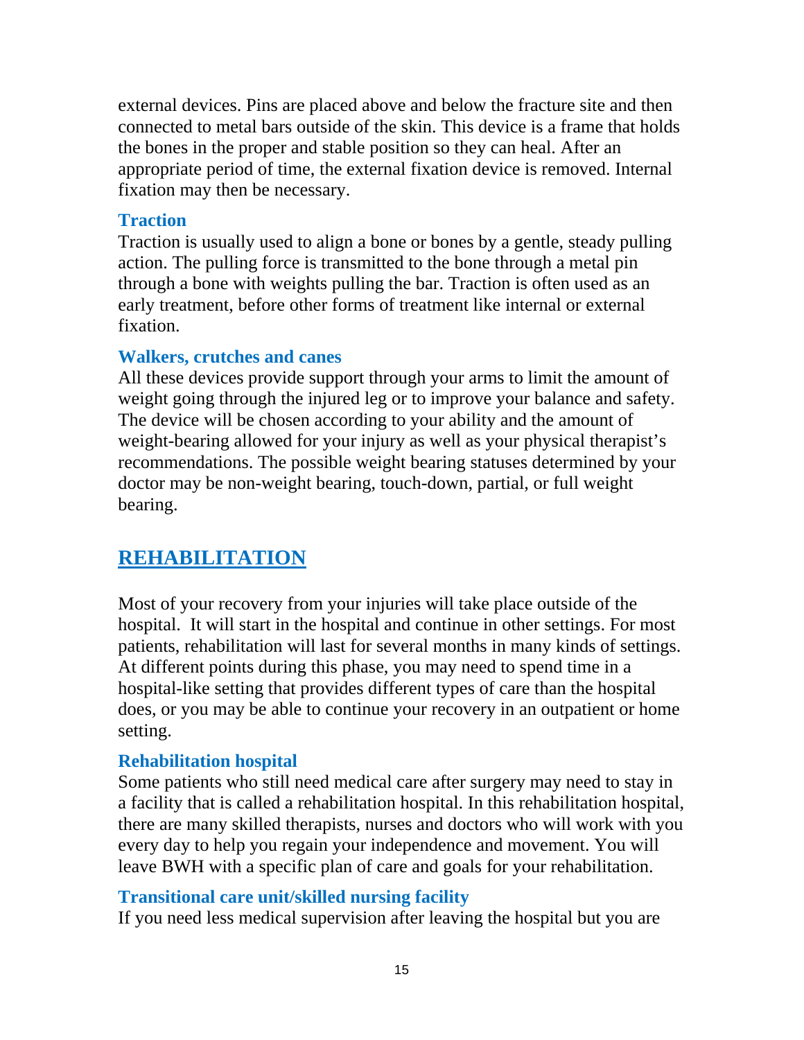external devices. Pins are placed above and below the fracture site and then connected to metal bars outside of the skin. This device is a frame that holds the bones in the proper and stable position so they can heal. After an appropriate period of time, the external fixation device is removed. Internal fixation may then be necessary.

#### **Traction**

Traction is usually used to align a bone or bones by a gentle, steady pulling action. The pulling force is transmitted to the bone through a metal pin through a bone with weights pulling the bar. Traction is often used as an early treatment, before other forms of treatment like internal or external fixation.

### **Walkers, crutches and canes**

All these devices provide support through your arms to limit the amount of weight going through the injured leg or to improve your balance and safety. The device will be chosen according to your ability and the amount of weight-bearing allowed for your injury as well as your physical therapist's recommendations. The possible weight bearing statuses determined by your doctor may be non-weight bearing, touch-down, partial, or full weight bearing.

### **REHABILITATION**

Most of your recovery from your injuries will take place outside of the hospital. It will start in the hospital and continue in other settings. For most patients, rehabilitation will last for several months in many kinds of settings. At different points during this phase, you may need to spend time in a hospital-like setting that provides different types of care than the hospital does, or you may be able to continue your recovery in an outpatient or home setting.

### **Rehabilitation hospital**

Some patients who still need medical care after surgery may need to stay in a facility that is called a rehabilitation hospital. In this rehabilitation hospital, there are many skilled therapists, nurses and doctors who will work with you every day to help you regain your independence and movement. You will leave BWH with a specific plan of care and goals for your rehabilitation.

### **Transitional care unit/skilled nursing facility**

If you need less medical supervision after leaving the hospital but you are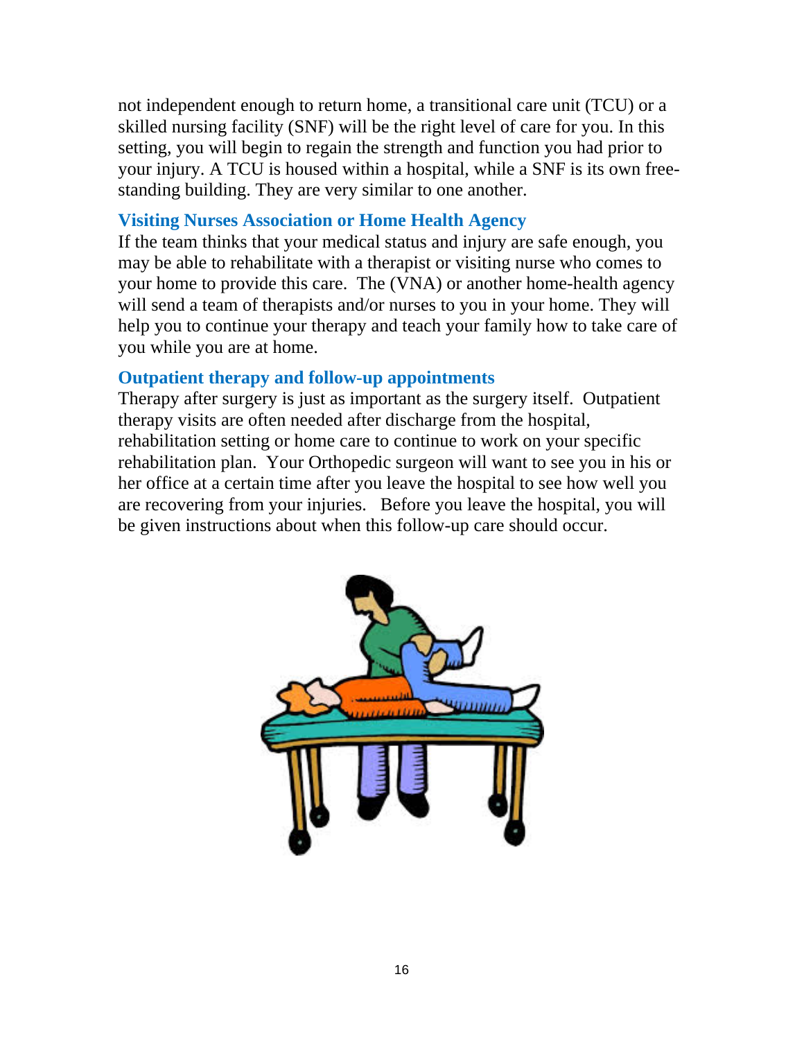not independent enough to return home, a transitional care unit (TCU) or a skilled nursing facility (SNF) will be the right level of care for you. In this setting, you will begin to regain the strength and function you had prior to your injury. A TCU is housed within a hospital, while a SNF is its own freestanding building. They are very similar to one another.

#### **Visiting Nurses Association or Home Health Agency**

If the team thinks that your medical status and injury are safe enough, you may be able to rehabilitate with a therapist or visiting nurse who comes to your home to provide this care. The (VNA) or another home-health agency will send a team of therapists and/or nurses to you in your home. They will help you to continue your therapy and teach your family how to take care of you while you are at home.

#### **Outpatient therapy and follow-up appointments**

Therapy after surgery is just as important as the surgery itself. Outpatient therapy visits are often needed after discharge from the hospital, rehabilitation setting or home care to continue to work on your specific rehabilitation plan. Your Orthopedic surgeon will want to see you in his or her office at a certain time after you leave the hospital to see how well you are recovering from your injuries. Before you leave the hospital, you will be given instructions about when this follow-up care should occur.

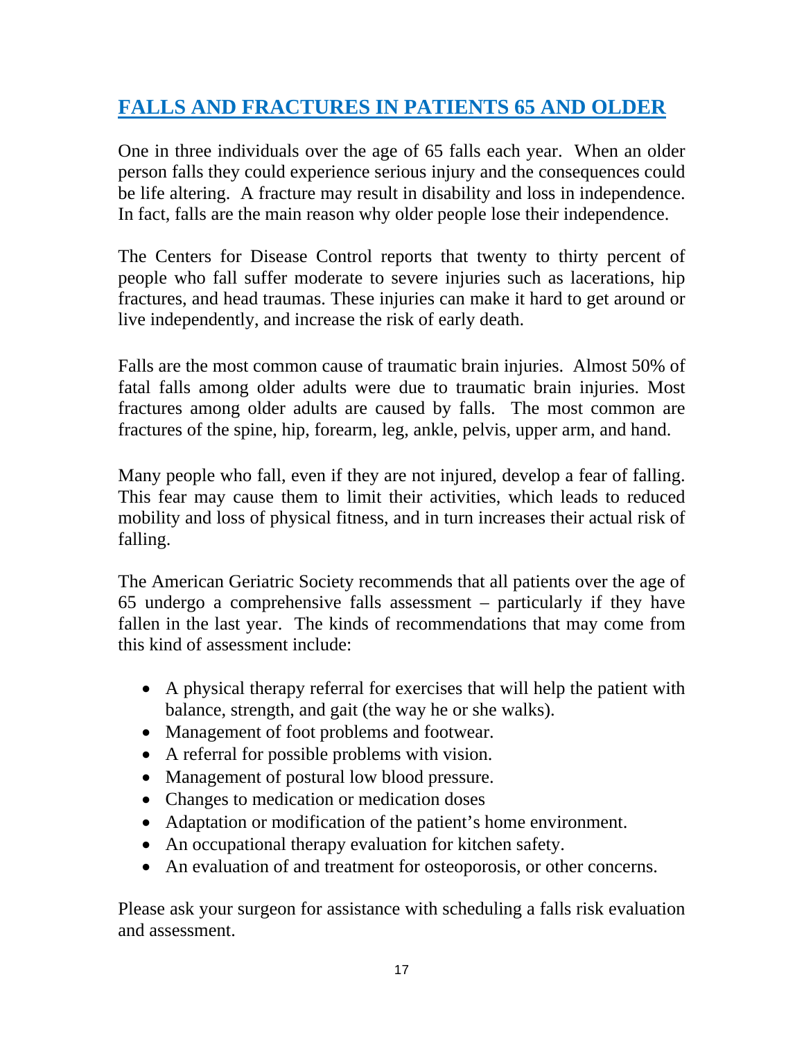## **FALLS AND FRACTURES IN PATIENTS 65 AND OLDER**

One in three individuals over the age of 65 falls each year. When an older person falls they could experience serious injury and the consequences could be life altering. A fracture may result in disability and loss in independence. In fact, falls are the main reason why older people lose their independence.

The Centers for Disease Control reports that twenty to thirty percent of people who fall suffer moderate to severe injuries such as lacerations, hip fractures, and head traumas. These injuries can make it hard to get around or live independently, and increase the risk of early death.

Falls are the most common cause of traumatic brain injuries. Almost 50% of fatal falls among older adults were due to traumatic brain injuries. Most fractures among older adults are caused by falls. The most common are fractures of the spine, hip, forearm, leg, ankle, pelvis, upper arm, and hand.

Many people who fall, even if they are not injured, develop a fear of falling. This fear may cause them to limit their activities, which leads to reduced mobility and loss of physical fitness, and in turn increases their actual risk of falling.

The American Geriatric Society recommends that all patients over the age of 65 undergo a comprehensive falls assessment – particularly if they have fallen in the last year. The kinds of recommendations that may come from this kind of assessment include:

- A physical therapy referral for exercises that will help the patient with balance, strength, and gait (the way he or she walks).
- Management of foot problems and footwear.
- A referral for possible problems with vision.
- Management of postural low blood pressure.
- Changes to medication or medication doses
- Adaptation or modification of the patient's home environment.
- An occupational therapy evaluation for kitchen safety.
- An evaluation of and treatment for osteoporosis, or other concerns.

Please ask your surgeon for assistance with scheduling a falls risk evaluation and assessment.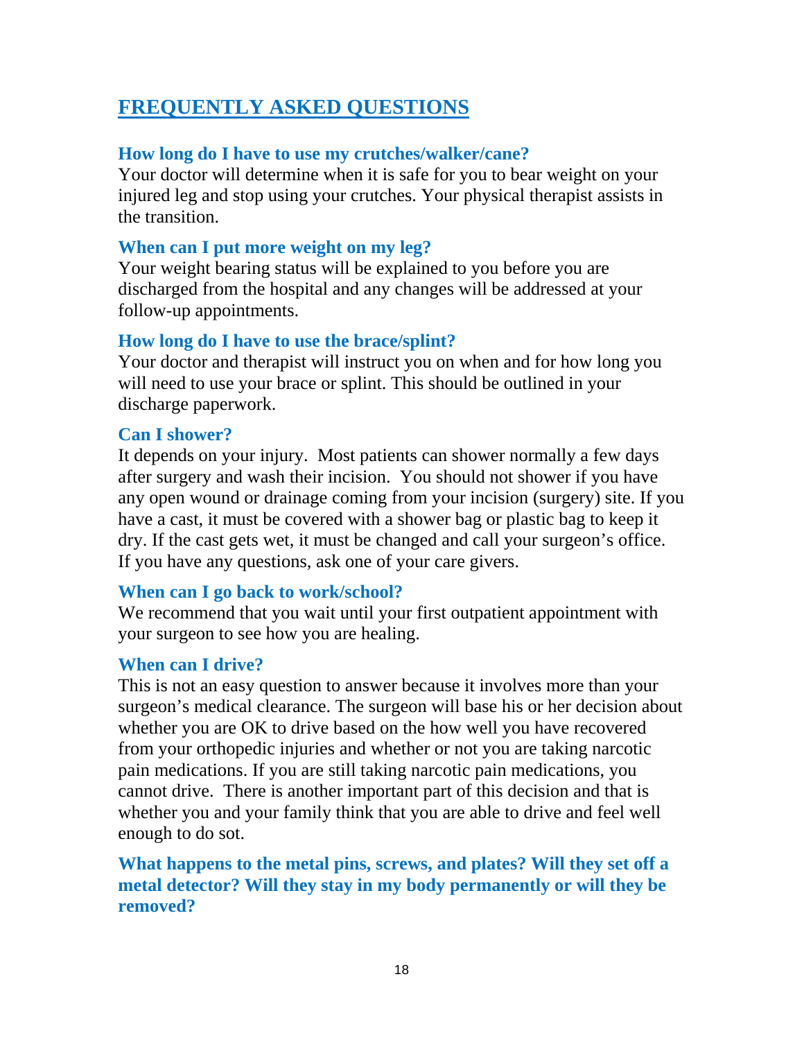### **FREQUENTLY ASKED QUESTIONS**

### **How long do I have to use my crutches/walker/cane?**

Your doctor will determine when it is safe for you to bear weight on your injured leg and stop using your crutches. Your physical therapist assists in the transition.

### **When can I put more weight on my leg?**

Your weight bearing status will be explained to you before you are discharged from the hospital and any changes will be addressed at your follow-up appointments.

### **How long do I have to use the brace/splint?**

Your doctor and therapist will instruct you on when and for how long you will need to use your brace or splint. This should be outlined in your discharge paperwork.

### **Can I shower?**

It depends on your injury. Most patients can shower normally a few days after surgery and wash their incision. You should not shower if you have any open wound or drainage coming from your incision (surgery) site. If you have a cast, it must be covered with a shower bag or plastic bag to keep it dry. If the cast gets wet, it must be changed and call your surgeon's office. If you have any questions, ask one of your care givers.

### **When can I go back to work/school?**

We recommend that you wait until your first outpatient appointment with your surgeon to see how you are healing.

### **When can I drive?**

This is not an easy question to answer because it involves more than your surgeon's medical clearance. The surgeon will base his or her decision about whether you are OK to drive based on the how well you have recovered from your orthopedic injuries and whether or not you are taking narcotic pain medications. If you are still taking narcotic pain medications, you cannot drive. There is another important part of this decision and that is whether you and your family think that you are able to drive and feel well enough to do sot.

**What happens to the metal pins, screws, and plates? Will they set off a metal detector? Will they stay in my body permanently or will they be removed?**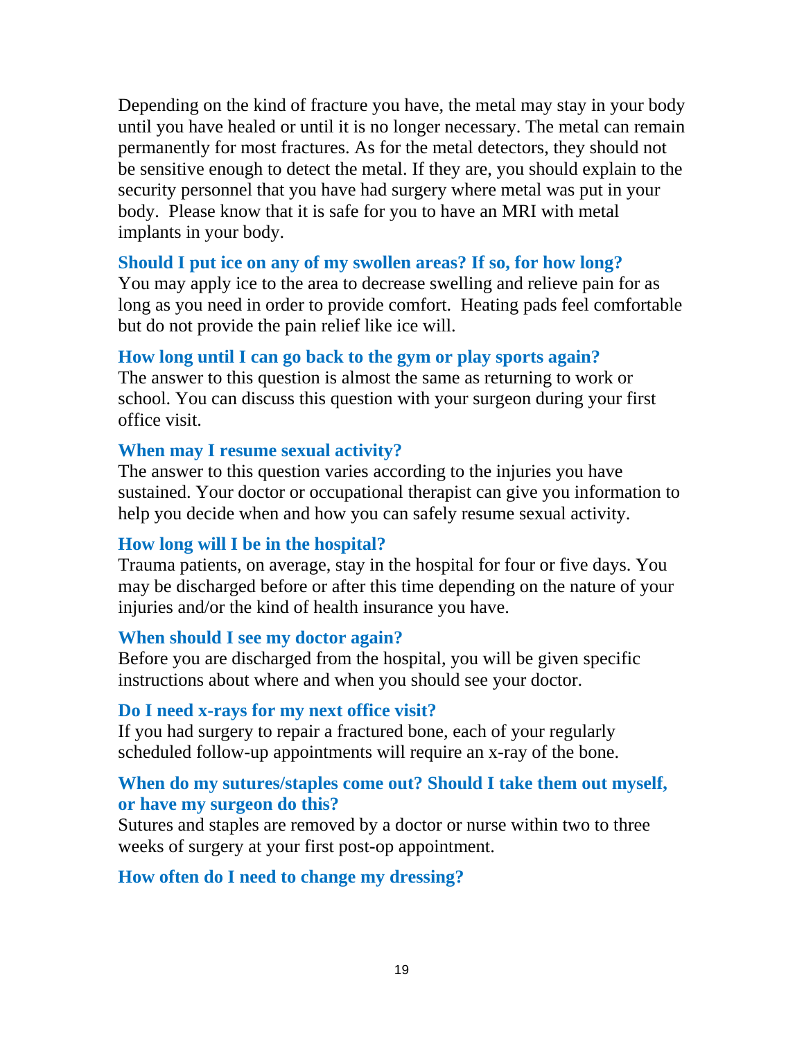Depending on the kind of fracture you have, the metal may stay in your body until you have healed or until it is no longer necessary. The metal can remain permanently for most fractures. As for the metal detectors, they should not be sensitive enough to detect the metal. If they are, you should explain to the security personnel that you have had surgery where metal was put in your body. Please know that it is safe for you to have an MRI with metal implants in your body.

### **Should I put ice on any of my swollen areas? If so, for how long?**

You may apply ice to the area to decrease swelling and relieve pain for as long as you need in order to provide comfort. Heating pads feel comfortable but do not provide the pain relief like ice will.

### **How long until I can go back to the gym or play sports again?**

The answer to this question is almost the same as returning to work or school. You can discuss this question with your surgeon during your first office visit.

### **When may I resume sexual activity?**

The answer to this question varies according to the injuries you have sustained. Your doctor or occupational therapist can give you information to help you decide when and how you can safely resume sexual activity.

### **How long will I be in the hospital?**

Trauma patients, on average, stay in the hospital for four or five days. You may be discharged before or after this time depending on the nature of your injuries and/or the kind of health insurance you have.

### **When should I see my doctor again?**

Before you are discharged from the hospital, you will be given specific instructions about where and when you should see your doctor.

### **Do I need x-rays for my next office visit?**

If you had surgery to repair a fractured bone, each of your regularly scheduled follow-up appointments will require an x-ray of the bone.

### **When do my sutures/staples come out? Should I take them out myself, or have my surgeon do this?**

Sutures and staples are removed by a doctor or nurse within two to three weeks of surgery at your first post-op appointment.

### **How often do I need to change my dressing?**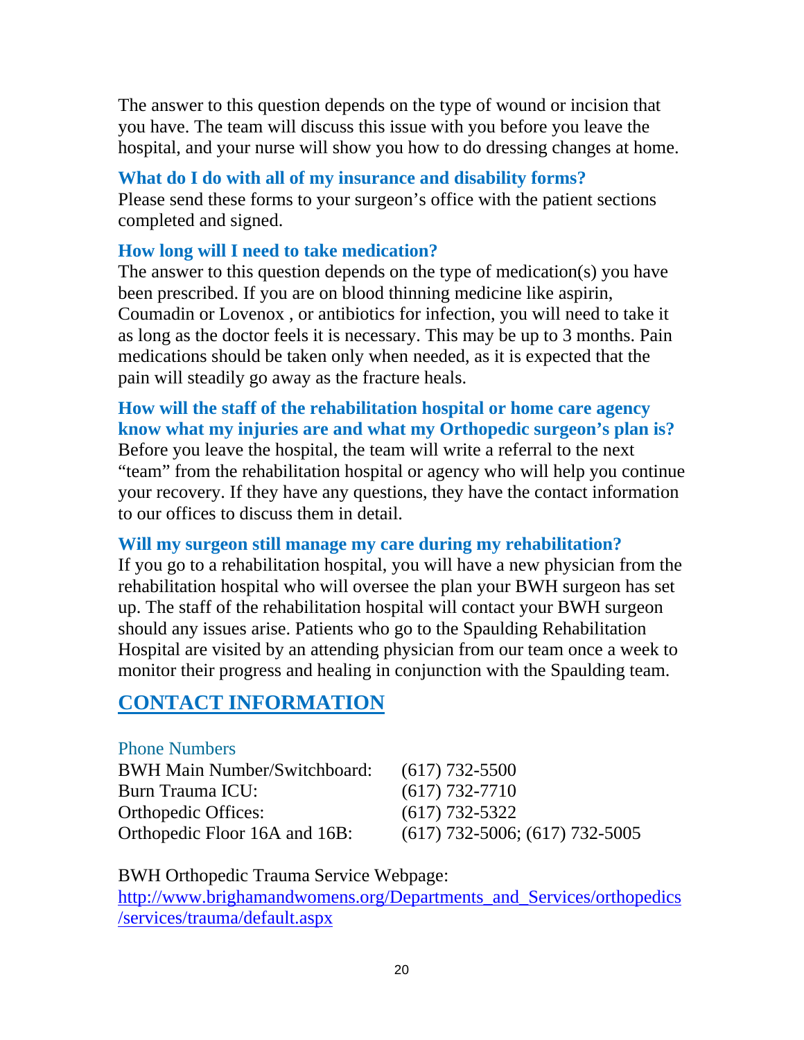The answer to this question depends on the type of wound or incision that you have. The team will discuss this issue with you before you leave the hospital, and your nurse will show you how to do dressing changes at home.

### **What do I do with all of my insurance and disability forms?**

Please send these forms to your surgeon's office with the patient sections completed and signed.

### **How long will I need to take medication?**

The answer to this question depends on the type of medication(s) you have been prescribed. If you are on blood thinning medicine like aspirin, Coumadin or Lovenox , or antibiotics for infection, you will need to take it as long as the doctor feels it is necessary. This may be up to 3 months. Pain medications should be taken only when needed, as it is expected that the pain will steadily go away as the fracture heals.

**How will the staff of the rehabilitation hospital or home care agency know what my injuries are and what my Orthopedic surgeon's plan is?**  Before you leave the hospital, the team will write a referral to the next "team" from the rehabilitation hospital or agency who will help you continue your recovery. If they have any questions, they have the contact information to our offices to discuss them in detail.

### **Will my surgeon still manage my care during my rehabilitation?**

If you go to a rehabilitation hospital, you will have a new physician from the rehabilitation hospital who will oversee the plan your BWH surgeon has set up. The staff of the rehabilitation hospital will contact your BWH surgeon should any issues arise. Patients who go to the Spaulding Rehabilitation Hospital are visited by an attending physician from our team once a week to monitor their progress and healing in conjunction with the Spaulding team.

### **CONTACT INFORMATION**

#### Phone Numbers

| <b>BWH Main Number/Switchboard:</b> | $(617)$ 732-5500                   |
|-------------------------------------|------------------------------------|
| Burn Trauma ICU:                    | $(617) 732 - 7710$                 |
| <b>Orthopedic Offices:</b>          | $(617)$ 732-5322                   |
| Orthopedic Floor 16A and 16B:       | $(617)$ 732-5006; $(617)$ 732-5005 |

BWH Orthopedic Trauma Service Webpage:

http://www.brighamandwomens.org/Departments\_and\_Services/orthopedics /services/trauma/default.aspx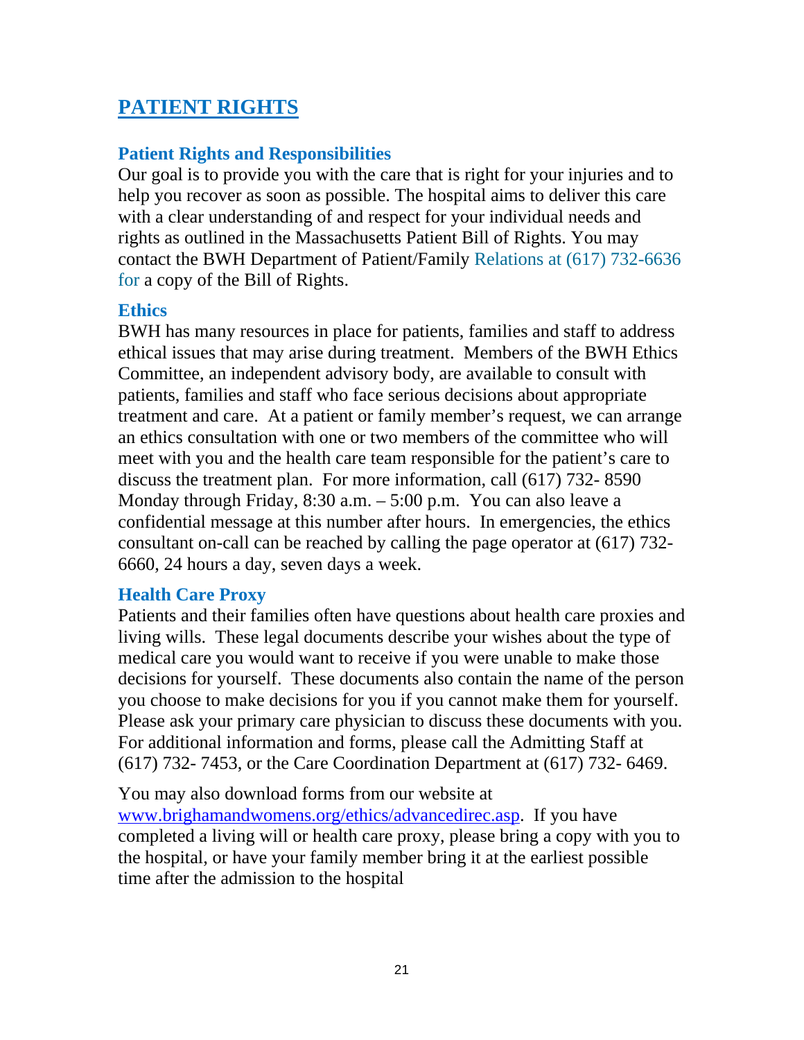### **PATIENT RIGHTS**

### **Patient Rights and Responsibilities**

Our goal is to provide you with the care that is right for your injuries and to help you recover as soon as possible. The hospital aims to deliver this care with a clear understanding of and respect for your individual needs and rights as outlined in the Massachusetts Patient Bill of Rights. You may contact the BWH Department of Patient/Family Relations at (617) 732-6636 for a copy of the Bill of Rights.

#### **Ethics**

BWH has many resources in place for patients, families and staff to address ethical issues that may arise during treatment. Members of the BWH Ethics Committee, an independent advisory body, are available to consult with patients, families and staff who face serious decisions about appropriate treatment and care. At a patient or family member's request, we can arrange an ethics consultation with one or two members of the committee who will meet with you and the health care team responsible for the patient's care to discuss the treatment plan. For more information, call (617) 732- 8590 Monday through Friday, 8:30 a.m. – 5:00 p.m. You can also leave a confidential message at this number after hours. In emergencies, the ethics consultant on-call can be reached by calling the page operator at (617) 732- 6660, 24 hours a day, seven days a week.

### **Health Care Proxy**

Patients and their families often have questions about health care proxies and living wills. These legal documents describe your wishes about the type of medical care you would want to receive if you were unable to make those decisions for yourself. These documents also contain the name of the person you choose to make decisions for you if you cannot make them for yourself. Please ask your primary care physician to discuss these documents with you. For additional information and forms, please call the Admitting Staff at (617) 732- 7453, or the Care Coordination Department at (617) 732- 6469.

You may also download forms from our website at www.brighamandwomens.org/ethics/advancedirec.asp. If you have completed a living will or health care proxy, please bring a copy with you to the hospital, or have your family member bring it at the earliest possible time after the admission to the hospital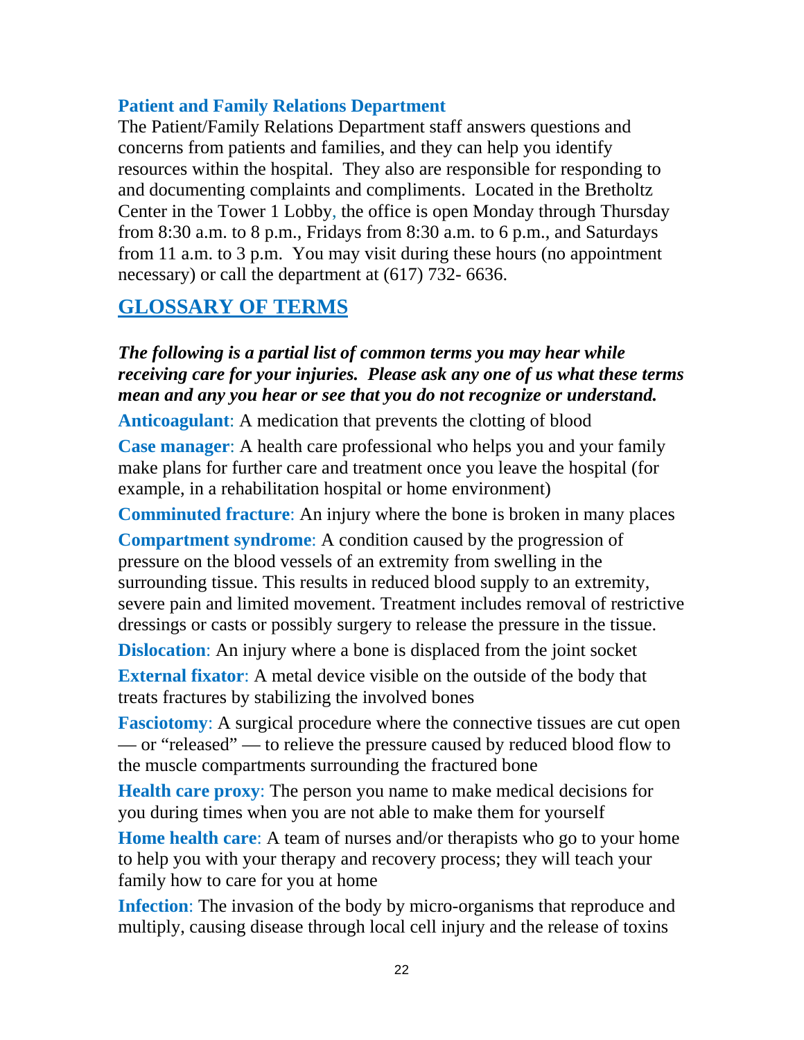### **Patient and Family Relations Department**

The Patient/Family Relations Department staff answers questions and concerns from patients and families, and they can help you identify resources within the hospital. They also are responsible for responding to and documenting complaints and compliments. Located in the Bretholtz Center in the Tower 1 Lobby, the office is open Monday through Thursday from 8:30 a.m. to 8 p.m., Fridays from 8:30 a.m. to 6 p.m., and Saturdays from 11 a.m. to 3 p.m. You may visit during these hours (no appointment necessary) or call the department at (617) 732- 6636.

### **GLOSSARY OF TERMS**

*The following is a partial list of common terms you may hear while receiving care for your injuries. Please ask any one of us what these terms mean and any you hear or see that you do not recognize or understand.* 

**Anticoagulant**: A medication that prevents the clotting of blood

**Case manager**: A health care professional who helps you and your family make plans for further care and treatment once you leave the hospital (for example, in a rehabilitation hospital or home environment)

**Comminuted fracture**: An injury where the bone is broken in many places

**Compartment syndrome**: A condition caused by the progression of pressure on the blood vessels of an extremity from swelling in the surrounding tissue. This results in reduced blood supply to an extremity, severe pain and limited movement. Treatment includes removal of restrictive dressings or casts or possibly surgery to release the pressure in the tissue.

**Dislocation**: An injury where a bone is displaced from the joint socket

**External fixator:** A metal device visible on the outside of the body that treats fractures by stabilizing the involved bones

**Fasciotomy:** A surgical procedure where the connective tissues are cut open — or "released" — to relieve the pressure caused by reduced blood flow to the muscle compartments surrounding the fractured bone

**Health care proxy**: The person you name to make medical decisions for you during times when you are not able to make them for yourself

**Home health care:** A team of nurses and/or therapists who go to your home to help you with your therapy and recovery process; they will teach your family how to care for you at home

**Infection**: The invasion of the body by micro-organisms that reproduce and multiply, causing disease through local cell injury and the release of toxins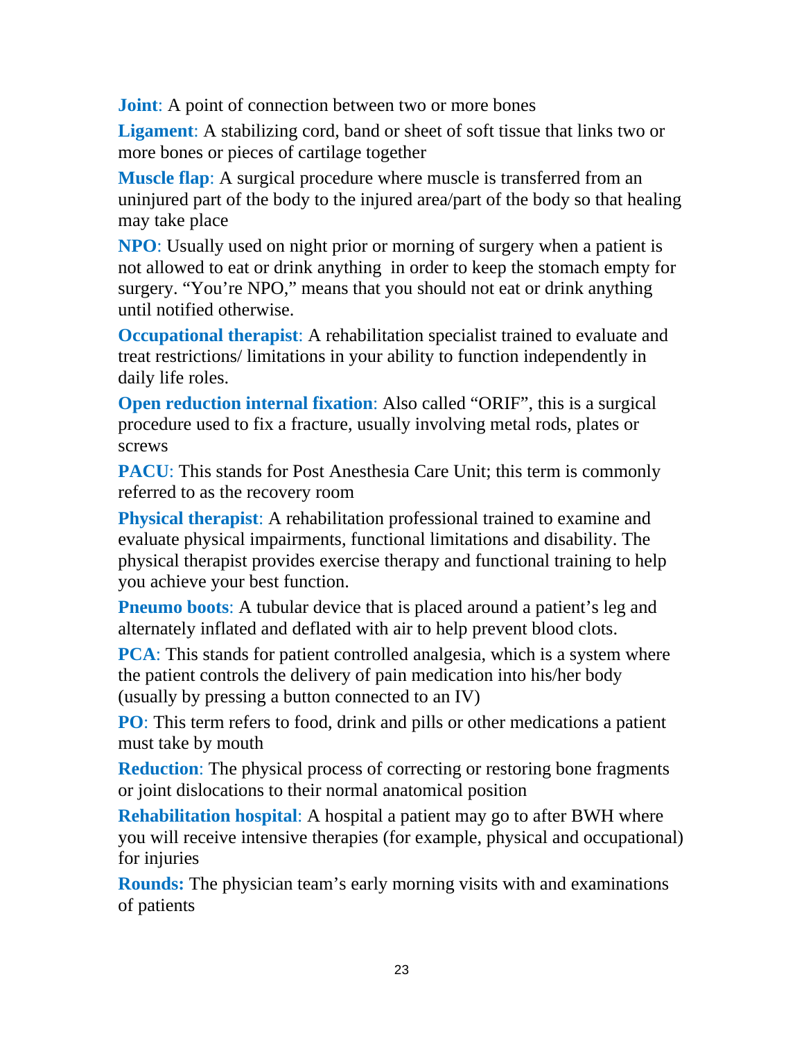**Joint:** A point of connection between two or more bones

**Ligament**: A stabilizing cord, band or sheet of soft tissue that links two or more bones or pieces of cartilage together

**Muscle flap**: A surgical procedure where muscle is transferred from an uninjured part of the body to the injured area/part of the body so that healing may take place

**NPO**: Usually used on night prior or morning of surgery when a patient is not allowed to eat or drink anything in order to keep the stomach empty for surgery. "You're NPO," means that you should not eat or drink anything until notified otherwise.

**Occupational therapist:** A rehabilitation specialist trained to evaluate and treat restrictions/ limitations in your ability to function independently in daily life roles.

**Open reduction internal fixation:** Also called "ORIF", this is a surgical procedure used to fix a fracture, usually involving metal rods, plates or screws

**PACU**: This stands for Post Anesthesia Care Unit; this term is commonly referred to as the recovery room

**Physical therapist**: A rehabilitation professional trained to examine and evaluate physical impairments, functional limitations and disability. The physical therapist provides exercise therapy and functional training to help you achieve your best function.

**Pneumo boots:** A tubular device that is placed around a patient's leg and alternately inflated and deflated with air to help prevent blood clots.

**PCA**: This stands for patient controlled analgesia, which is a system where the patient controls the delivery of pain medication into his/her body (usually by pressing a button connected to an IV)

**PO**: This term refers to food, drink and pills or other medications a patient must take by mouth

**Reduction**: The physical process of correcting or restoring bone fragments or joint dislocations to their normal anatomical position

**Rehabilitation hospital**: A hospital a patient may go to after BWH where you will receive intensive therapies (for example, physical and occupational) for injuries

**Rounds:** The physician team's early morning visits with and examinations of patients